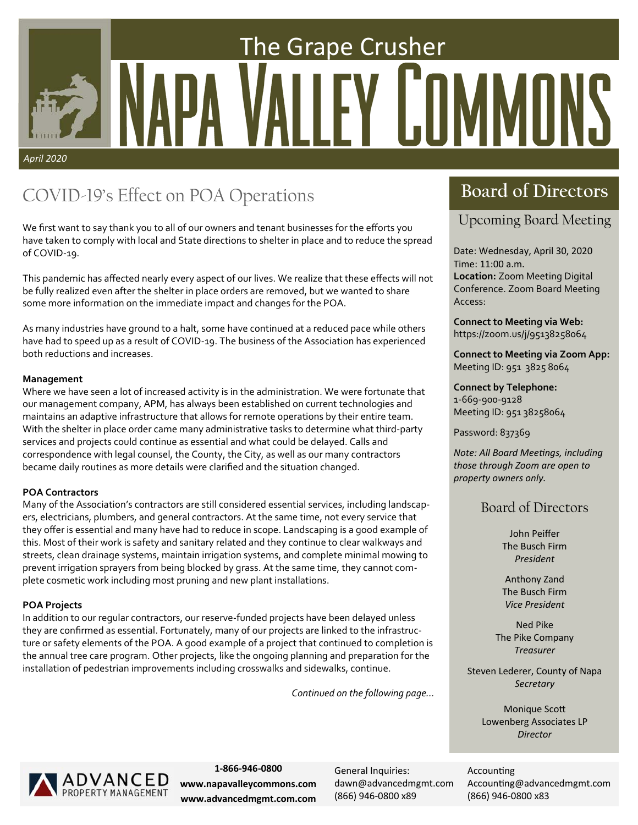# The Grape Crusher Y LIMMI *April 2020*

### COVID-19's Effect on POA Operations

We first want to say thank you to all of our owners and tenant businesses for the efforts you have taken to comply with local and State directions to shelter in place and to reduce the spread of COVID‐19.

This pandemic has affected nearly every aspect of our lives. We realize that these effects will not be fully realized even after the shelter in place orders are removed, but we wanted to share some more information on the immediate impact and changes for the POA.

As many industries have ground to a halt, some have continued at a reduced pace while others have had to speed up as a result of COVID‐19. The business of the Association has experienced both reductions and increases.

#### **Management**

Where we have seen a lot of increased activity is in the administration. We were fortunate that our management company, APM, has always been established on current technologies and maintains an adaptive infrastructure that allows for remote operations by their entire team. With the shelter in place order came many administrative tasks to determine what third‐party services and projects could continue as essential and what could be delayed. Calls and correspondence with legal counsel, the County, the City, as well as our many contractors became daily routines as more details were clarified and the situation changed.

#### **POA Contractors**

Many of the Association's contractors are still considered essential services, including landscap‐ ers, electricians, plumbers, and general contractors. At the same time, not every service that they offer is essential and many have had to reduce in scope. Landscaping is a good example of this. Most of their work is safety and sanitary related and they continue to clear walkways and streets, clean drainage systems, maintain irrigation systems, and complete minimal mowing to prevent irrigation sprayers from being blocked by grass. At the same time, they cannot com‐ plete cosmetic work including most pruning and new plant installations.

#### **POA Projects**

In addition to our regular contractors, our reserve-funded projects have been delayed unless they are confirmed as essential. Fortunately, many of our projects are linked to the infrastruc‐ ture or safety elements of the POA. A good example of a project that continued to completion is the annual tree care program. Other projects, like the ongoing planning and preparation for the installation of pedestrian improvements including crosswalks and sidewalks, continue.

*Continued on the following page...* 

### **Board of Directors**

#### Upcoming Board Meeting

Date: Wednesday, April 30, 2020 Time: 11:00 a.m. **Location:** Zoom Meeting Digital Conference. Zoom Board Meeting Access:

**Connect to Meeting via Web:**  https://zoom.us/j/95138258064

**Connect to Meeting via Zoom App:**  Meeting ID: 951 3825 8064

**Connect by Telephone:**  1‐669‐900‐9128 Meeting ID: 951 38258064

Password: 837369

*Note: All Board MeeƟngs, including those through Zoom are open to property owners only.* 

#### Board of Directors

John Peiffer The Busch Firm *President* 

Anthony Zand The Busch Firm *Vice President* 

Ned Pike The Pike Company *Treasurer* 

Steven Lederer, County of Napa *Secretary* 

> **Monique Scott** Lowenberg Associates LP *Director*



**1‐866‐946‐0800 www.napavalleycommons.com www.advancedmgmt.com.com** 

General Inquiries: dawn@advancedmgmt.com (866) 946‐0800 x89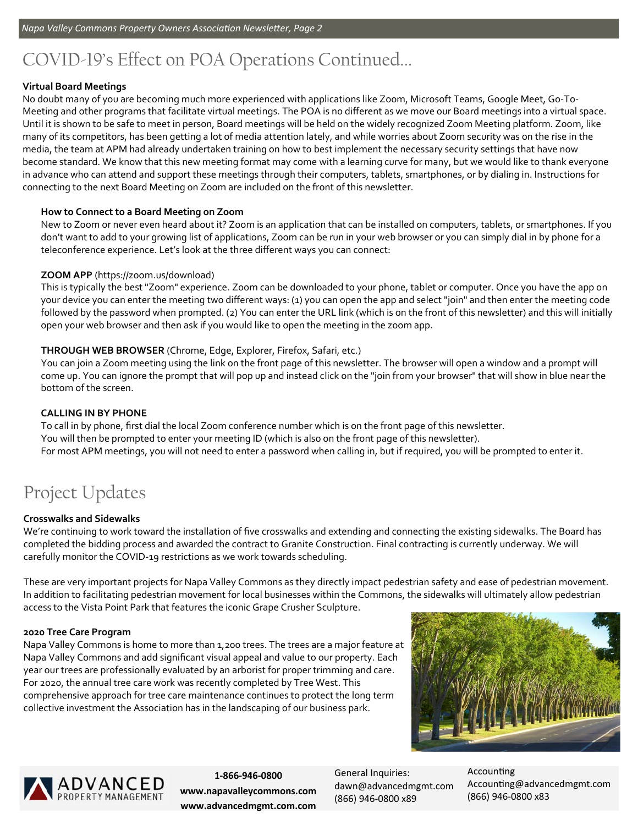### COVID-19's Effect on POA Operations Continued...

#### **Virtual Board Meetings**

No doubt many of you are becoming much more experienced with applications like Zoom, Microsoft Teams, Google Meet, Go‐To‐ Meeting and other programs that facilitate virtual meetings. The POA is no different as we move our Board meetings into a virtual space. Until it is shown to be safe to meet in person, Board meetings will be held on the widely recognized Zoom Meeting platform. Zoom, like many of its competitors, has been getting a lot of media attention lately, and while worries about Zoom security was on the rise in the media, the team at APM had already undertaken training on how to best implement the necessary security settings that have now become standard. We know that this new meeting format may come with a learning curve for many, but we would like to thank everyone in advance who can attend and support these meetings through their computers, tablets, smartphones, or by dialing in. Instructions for connecting to the next Board Meeting on Zoom are included on the front of this newsletter.

#### **How to Connect to a Board Meeting on Zoom**

New to Zoom or never even heard about it? Zoom is an application that can be installed on computers, tablets, or smartphones. If you don't want to add to your growing list of applications, Zoom can be run in your web browser or you can simply dial in by phone for a teleconference experience. Let's look at the three different ways you can connect:

#### **ZOOM APP** (https://zoom.us/download)

This is typically the best "Zoom" experience. Zoom can be downloaded to your phone, tablet or computer. Once you have the app on your device you can enter the meeting two different ways: (1) you can open the app and select "join" and then enter the meeting code followed by the password when prompted. (2) You can enter the URL link (which is on the front of this newsletter) and this will initially open your web browser and then ask if you would like to open the meeting in the zoom app.

#### **THROUGH WEB BROWSER** (Chrome, Edge, Explorer, Firefox, Safari, etc.)

You can join a Zoom meeting using the link on the front page of this newsletter. The browser will open a window and a prompt will come up. You can ignore the prompt that will pop up and instead click on the "join from your browser" that will show in blue near the bottom of the screen.

#### **CALLING IN BY PHONE**

To call in by phone, first dial the local Zoom conference number which is on the front page of this newsletter. You will then be prompted to enter your meeting ID (which is also on the front page of this newsletter). For most APM meetings, you will not need to enter a password when calling in, but if required, you will be prompted to enter it.

### Project Updates

#### **Crosswalks and Sidewalks**

We're continuing to work toward the installation of five crosswalks and extending and connecting the existing sidewalks. The Board has completed the bidding process and awarded the contract to Granite Construction. Final contracting is currently underway. We will carefully monitor the COVID‐19 restrictions as we work towards scheduling.

These are very important projects for Napa Valley Commons as they directly impact pedestrian safety and ease of pedestrian movement. In addition to facilitating pedestrian movement for local businesses within the Commons, the sidewalks will ultimately allow pedestrian access to the Vista Point Park that features the iconic Grape Crusher Sculpture.

#### **2020 Tree Care Program**

Napa Valley Commons is home to more than 1,200 trees. The trees are a major feature at Napa Valley Commons and add significant visual appeal and value to our property. Each year our trees are professionally evaluated by an arborist for proper trimming and care. For 2020, the annual tree care work was recently completed by Tree West. This comprehensive approach for tree care maintenance continues to protect the long term collective investment the Association has in the landscaping of our business park.





**1‐866‐946‐0800 www.napavalleycommons.com www.advancedmgmt.com.com**  General Inquiries: dawn@advancedmgmt.com (866) 946‐0800 x89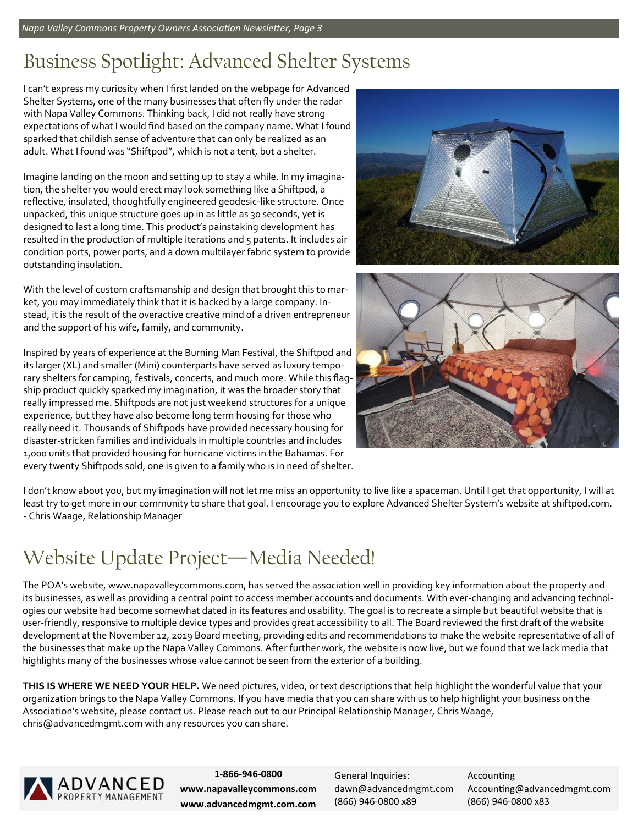# Business Spotlight: Advanced Shelter Systems

I can't express my curiosity when I first landed on the webpage for Advanced Shelter Systems, one of the many businesses that often fly under the radar with Napa Valley Commons. Thinking back, I did not really have strong expectations of what I would find based on the company name. What I found sparked that childish sense of adventure that can only be realized as an adult. What I found was "Shiftpod", which is not a tent, but a shelter.

Imagine landing on the moon and setting up to stay a while. In my imagina‐ tion, the shelter you would erect may look something like a Shiftpod, a reflective, insulated, thoughtfully engineered geodesic‐like structure. Once unpacked, this unique structure goes up in as little as 30 seconds, yet is designed to last a long time. This product's painstaking development has resulted in the production of multiple iterations and 5 patents. It includes air condition ports, power ports, and a down multilayer fabric system to provide outstanding insulation.

With the level of custom craftsmanship and design that brought this to market, you may immediately think that it is backed by a large company. In‐ stead, it is the result of the overactive creative mind of a driven entrepreneur and the support of his wife, family, and community.

Inspired by years of experience at the Burning Man Festival, the Shiftpod and its larger (XL) and smaller (Mini) counterparts have served as luxury tempo‐ rary shelters for camping, festivals, concerts, and much more. While this flagship product quickly sparked my imagination, it was the broader story that really impressed me. Shiftpods are not just weekend structures for a unique experience, but they have also become long term housing for those who really need it. Thousands of Shiftpods have provided necessary housing for disaster‐stricken families and individuals in multiple countries and includes 1,000 units that provided housing for hurricane victims in the Bahamas. For every twenty Shiftpods sold, one is given to a family who is in need of shelter.





I don't know about you, but my imagination will not let me miss an opportunity to live like a spaceman. Until I get that opportunity, I will at least try to get more in our community to share that goal. I encourage you to explore Advanced Shelter System's website at shiftpod.com. ‐ Chris Waage, Relationship Manager

# Website Update Project—Media Needed!

The POA's website, www.napavalleycommons.com, has served the association well in providing key information about the property and its businesses, as well as providing a central point to access member accounts and documents. With ever-changing and advancing technologies our website had become somewhat dated in its features and usability. The goal is to recreate a simple but beautiful website that is user-friendly, responsive to multiple device types and provides great accessibility to all. The Board reviewed the first draft of the website development at the November 12, 2019 Board meeting, providing edits and recommendations to make the website representative of all of the businesses that make up the Napa Valley Commons. After further work, the website is now live, but we found that we lack media that highlights many of the businesses whose value cannot be seen from the exterior of a building.

**THIS IS WHERE WE NEED YOUR HELP.** We need pictures, video, or text descriptions that help highlight the wonderful value that your organization brings to the Napa Valley Commons. If you have media that you can share with us to help highlight your business on the Association's website, please contact us. Please reach out to our Principal Relationship Manager, Chris Waage, chris@advancedmgmt.com with any resources you can share.



**1‐866‐946‐0800 www.napavalleycommons.com www.advancedmgmt.com.com**  General Inquiries: dawn@advancedmgmt.com (866) 946‐0800 x89